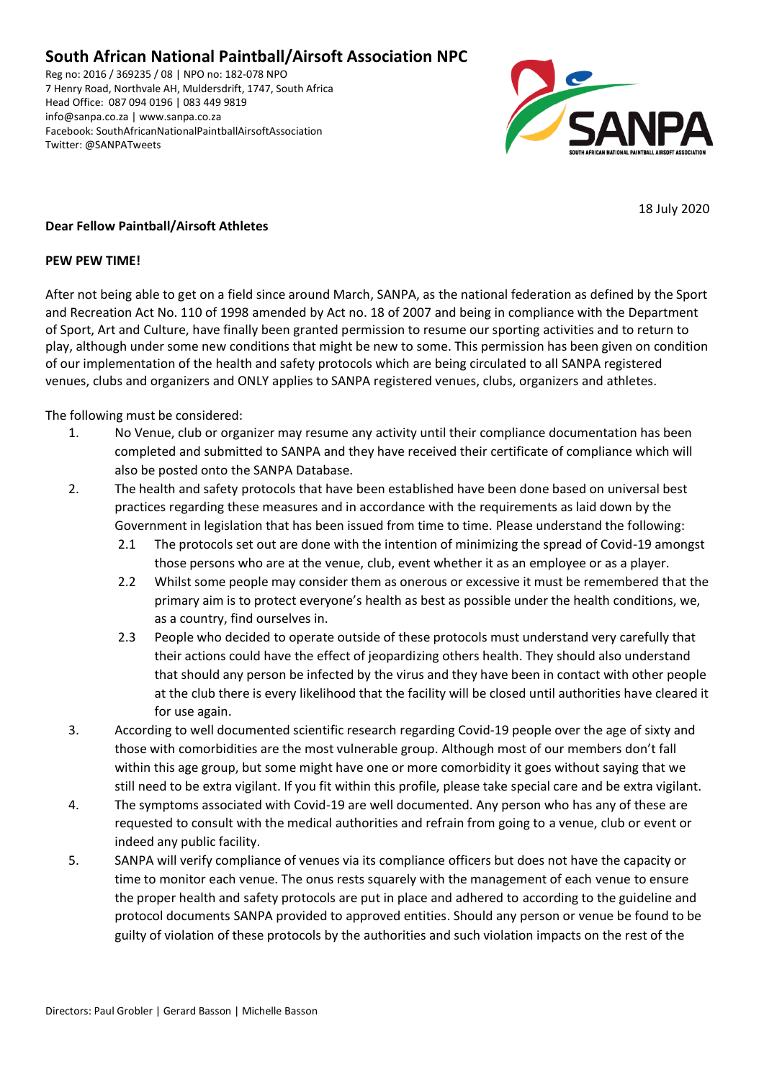### **South African National Paintball/Airsoft Association NPC**

Reg no: 2016 / 369235 / 08 | NPO no: 182-078 NPO 7 Henry Road, Northvale AH, Muldersdrift, 1747, South Africa Head Office: 087 094 0196 | 083 449 9819 info@sanpa.co.za | www.sanpa.co.za Facebook: SouthAfricanNationalPaintballAirsoftAssociation Twitter: @SANPATweets



18 July 2020

### **Dear Fellow Paintball/Airsoft Athletes**

#### **PEW PEW TIME!**

After not being able to get on a field since around March, SANPA, as the national federation as defined by the Sport and Recreation Act No. 110 of 1998 amended by Act no. 18 of 2007 and being in compliance with the Department of Sport, Art and Culture, have finally been granted permission to resume our sporting activities and to return to play, although under some new conditions that might be new to some. This permission has been given on condition of our implementation of the health and safety protocols which are being circulated to all SANPA registered venues, clubs and organizers and ONLY applies to SANPA registered venues, clubs, organizers and athletes.

The following must be considered:

- 1. No Venue, club or organizer may resume any activity until their compliance documentation has been completed and submitted to SANPA and they have received their certificate of compliance which will also be posted onto the SANPA Database.
- 2. The health and safety protocols that have been established have been done based on universal best practices regarding these measures and in accordance with the requirements as laid down by the Government in legislation that has been issued from time to time. Please understand the following:
	- 2.1 The protocols set out are done with the intention of minimizing the spread of Covid-19 amongst those persons who are at the venue, club, event whether it as an employee or as a player.
	- 2.2 Whilst some people may consider them as onerous or excessive it must be remembered that the primary aim is to protect everyone's health as best as possible under the health conditions, we, as a country, find ourselves in.
	- 2.3 People who decided to operate outside of these protocols must understand very carefully that their actions could have the effect of jeopardizing others health. They should also understand that should any person be infected by the virus and they have been in contact with other people at the club there is every likelihood that the facility will be closed until authorities have cleared it for use again.
- 3. According to well documented scientific research regarding Covid-19 people over the age of sixty and those with comorbidities are the most vulnerable group. Although most of our members don't fall within this age group, but some might have one or more comorbidity it goes without saying that we still need to be extra vigilant. If you fit within this profile, please take special care and be extra vigilant.
- 4. The symptoms associated with Covid-19 are well documented. Any person who has any of these are requested to consult with the medical authorities and refrain from going to a venue, club or event or indeed any public facility.
- 5. SANPA will verify compliance of venues via its compliance officers but does not have the capacity or time to monitor each venue. The onus rests squarely with the management of each venue to ensure the proper health and safety protocols are put in place and adhered to according to the guideline and protocol documents SANPA provided to approved entities. Should any person or venue be found to be guilty of violation of these protocols by the authorities and such violation impacts on the rest of the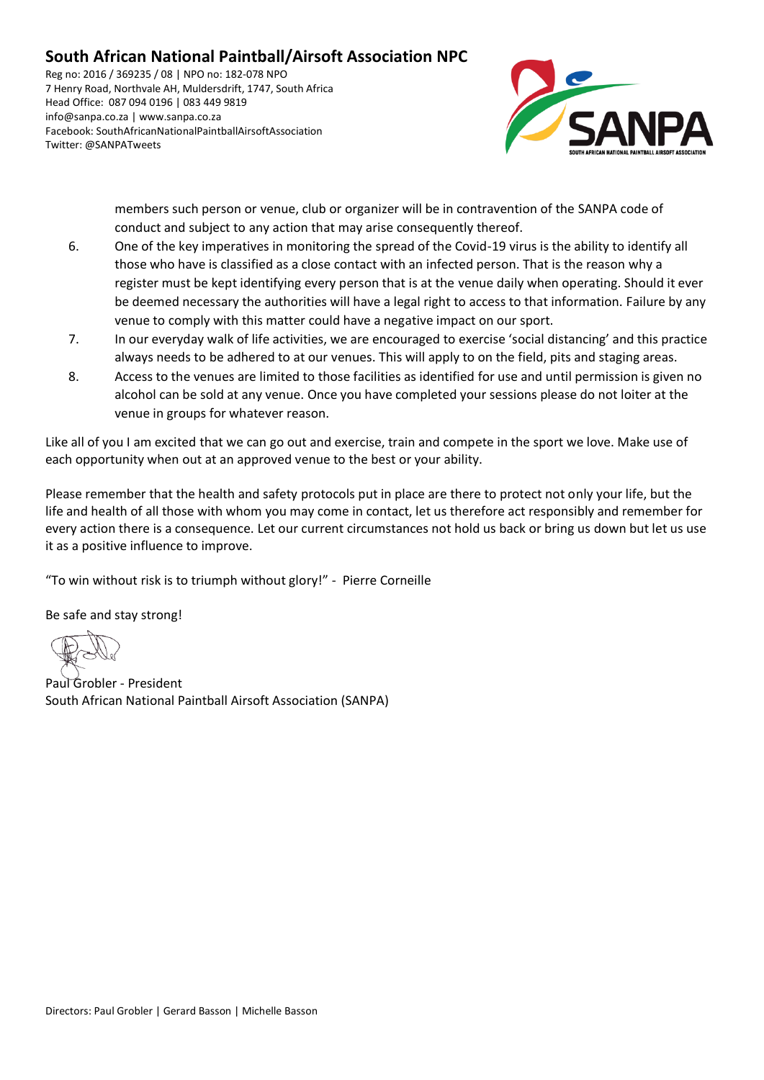# **South African National Paintball/Airsoft Association NPC**

Reg no: 2016 / 369235 / 08 | NPO no: 182-078 NPO 7 Henry Road, Northvale AH, Muldersdrift, 1747, South Africa Head Office: 087 094 0196 | 083 449 9819 info@sanpa.co.za | www.sanpa.co.za Facebook: SouthAfricanNationalPaintballAirsoftAssociation Twitter: @SANPATweets



members such person or venue, club or organizer will be in contravention of the SANPA code of conduct and subject to any action that may arise consequently thereof.

- 6. One of the key imperatives in monitoring the spread of the Covid-19 virus is the ability to identify all those who have is classified as a close contact with an infected person. That is the reason why a register must be kept identifying every person that is at the venue daily when operating. Should it ever be deemed necessary the authorities will have a legal right to access to that information. Failure by any venue to comply with this matter could have a negative impact on our sport.
- 7. In our everyday walk of life activities, we are encouraged to exercise 'social distancing' and this practice always needs to be adhered to at our venues. This will apply to on the field, pits and staging areas.
- 8. Access to the venues are limited to those facilities as identified for use and until permission is given no alcohol can be sold at any venue. Once you have completed your sessions please do not loiter at the venue in groups for whatever reason.

Like all of you I am excited that we can go out and exercise, train and compete in the sport we love. Make use of each opportunity when out at an approved venue to the best or your ability.

Please remember that the health and safety protocols put in place are there to protect not only your life, but the life and health of all those with whom you may come in contact, let us therefore act responsibly and remember for every action there is a consequence. Let our current circumstances not hold us back or bring us down but let us use it as a positive influence to improve.

"To win without risk is to triumph without glory!" - Pierre Corneille

Be safe and stay strong!

Paul Grobler - President South African National Paintball Airsoft Association (SANPA)